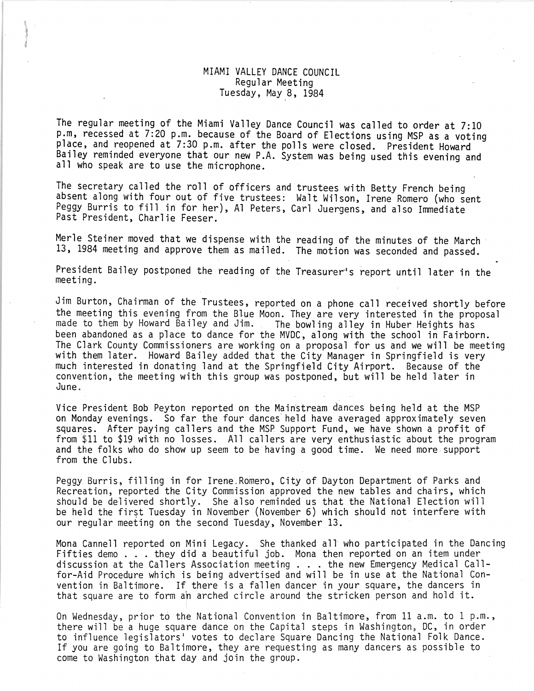## MIAMI VALLEY DANCE COUNCIL Regular Meeting Tuesday, May 8, 1984

}

The regular meeting of the Miami Valley Dance Council was called to order at 7:10<br>p.m, recessed at 7:20 p.m. because of the Board of Elections using MSP as a voting place, and reopened at 7:30 p.m. after the polls were closed. President Howard Bailey reminded everyone that our new P.A. System was being used this evening and all who speak are to use the microphone.

The secretary called the roll of officers and trustees with Betty French being absent along with four out of five trustees: Walt Wilson, Irene Romero (who sent Peggy Burris to fill in for her), Al Peters, Carl Juergens, and also Immediate Past President, Charlie Feeser.

Merle Steiner moved that we dispense with the reading of the minutes of the March 13, 1984 meeting and approve them as mailed. The motion was seconded and passed.

President Bailey postponed the reading of the Treasurer"s report until later in the meeting.

Jim Burton, Chairman of the Trustees, reported on a phone call received shortly before the meeting this evening from the Blue Moon. They are very interested in the proposal made to them by Howard Bailey and Jim. The bowling alley in Huber Heights has been abandoned as a place to dance for the MVDC, along with the school in Fairborn.<br>The Clark County Commissioners are working on a proposal for us and we will be meeting with them later. Howard Bailey added that the City Manager in Springfield is very much interested in donating land at the Springfield City Airport. Because of the convention, the meeting with this group was postponed, but will be held later in June.

Vice President Bob Peyton reported on the Mainstream dances being held at the MSP on Monday evenings. So far the four dances' held have averaged approximately seven squares. After paying callers and the MSP Support Fund, we have shown a profit of from \$11 to \$19 with no losses. All callers are very enthusiastic about the program and the folks who do show up seem to be having a good time. We need more support from the Clubs.

Peggy Burris, filling in for Irene. Romero, City of Dayton Department of Parks and Recreation, reported the City Commission approved the new tables and chairs, which should be delivered shortly. She also reminded us that the National Election will be held the first Tuesday in November (November 6) which should not interfere with our regular meeting on the second Tuesday, November 13.

Mona Cannell reported on Mini Legacy. She thanked all who participated in the Dancing<br>Fifties demo ... they did a beautiful job. Mona then reported on an item under<br>Hispaneou Medical Call Fifties demo... they did a beautiful job. Mona then reported on an item under<br>discussion at the Callers Association meeting ... the new Emergency Medical Call-<br>for Aid Deserture which is being adventised and will be in use discussion at the Callers Association meeting . . . the new Emergency Medical Call-<br>for-Aid Procedure which is being advertised and will be in use at the National Convention in Baltimore. If there is a fallen dancer in your square, the dancers in that square are to form ah arched circle around the stricken person and hold it.

On Wednesday, prior to the National Convention in Baltimore, from 11 a.m. to 1 p.m., there will be a huge square dance on the Capital steps in Washington, DC, in order to influence legislators' votes to declare Square Dancing the National Folk Dance. If you are going to Baltimore, they are requesting as many dancers as possible to come to Washington that day and join the group.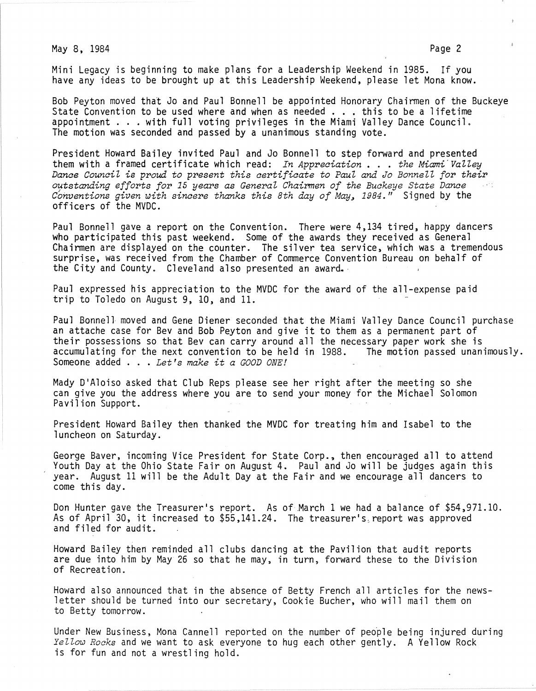May 8, 1984 **Page 2** 

Mini Legacy is beginning to make plans for a Leadership Weekend in 1985. If you have any ideas to be brought up at this Leadership Weekend, please let Mona know.

Bob Peyton moved that Jo and Paul Bonnell be appointed Honorary Chairmen of the Buckeye Bob Peyton moved that Jo and Paul Bonnell be appointed Honorary Chairmen of the E<br>State Convention to be used where and when as needed ... this to be a lifetime State Convention to be used where and when as needed . . . this to be a lifetime<br>appointment . . . with full voting privileges in the Miami Valley Dance Council.<br>The matter with the last of the Miami Valley Dance Council. The motion was seconded and passed by a unanimous standing vote.

President Howard Bailey invited Paul and Jo Bonnell to step forward and presented them with a framed certificate which read: *In Appreaiation* ... *the Miami'Valley Danae CounaiZ* is *proud to present this aertifiaate to Paul and Jo Bonnell for their outstanding efforts for* 15 *years* as *General Chairmen of the Buakeye State Danae Conventions given with sinaere thanks this 8th day of May,* 1984." Signed by the officers of the MVDC.

Paul Bonnell gave a report on the Convention. There were 4,134 tired, happy dancers who participated this past weekend. Some of the awards they received as General Chairmen are displayed on the counter. The silver tea service, which was a tremendous surprise, was received from the Chamber of Commerce Convention Bureau on behalf of the City and County. Cleveland also presented an award.·

Paul expressed his appreciation to the MVDC for the award of the all-expense paid trip to Toledo on August 9, 10, and 11.

Paul Bonnell moved and Gene Diener seconded that the Miami Valley Dance Council purchase an attache case for Bev and Bob Peyton and give it to them as a permanent part of their possessions so that Bev can carry around all the necessary paper work she is<br>accumulating for the next convention to be held in 1988. The motion passed unanimously. accumulating for the next convention to be held in 1988. The motion passed unanimously. Someone added ... *Let's make it a GOOD ONE!* 

Mady D'Aloiso asked that Club Reps please see her right after the meeting so she can give you the address where you are to send your money for the Michael Solomon Pavilion Support.

President Howard Bailey then thanked the MVDC for treating him and Isabel to the luncheon on Saturday.

George Baver, incoming Vice President for State Corp., then encouraged all to attend Youth Day at the Ohio State Fair on August 4. Paul and Jo will be judges again this year. August 11 will be the Adult Day at the Fair and we encourage all dancers to come this day.

Don Hunter gave the Treasurer's report. As of March 1 we had a balance of \$54,971.10. As of April 30, it increased to \$55,141.24. The treasurer's, report was approved and filed for audit.

Howard Bailey then reminded all clubs dancing at the Pavilion that audit reports are due into him by May 26 so that he may, in turn, forward these to the Division of Recreation.

Howard also announced that in the absence of Betty French all articles for the newsletter should be turned into our secretary, Cookie Bucher, who will mail them on to Betty tomorrow.

Under New Business, Mona Cannell reported on the number of people being injured during *Yellow Roaks* and we want to ask everyone to hug each other gently. A Yellow Rock is for fun and not a wrestling hold.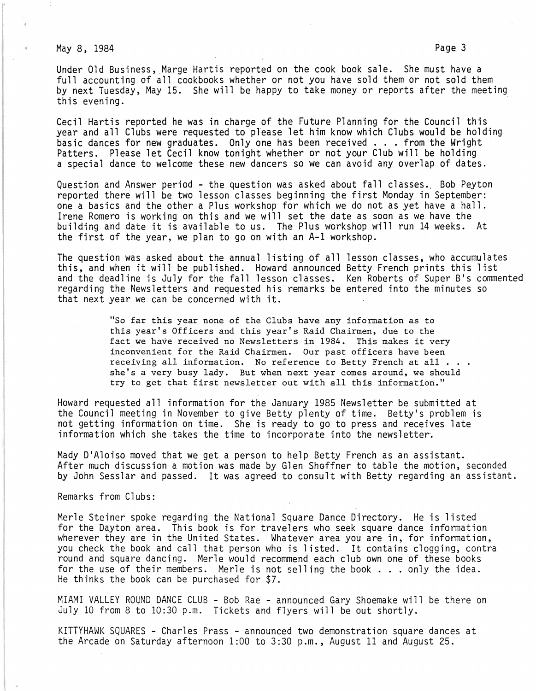May 8, 1984 **Page 3** 

Under Old Business, Marge Hartis reported on the cook book sale. She must have a full accounting of all cookbooks whether or not you have sold them or not sold them by next Tuesday, May 15. She will be happy to take money or reports after the meeting this evening.

Cecil Hartis reported he was in charge of the Future Planning for the Council this year and all Clubs were requested to please let him know which Clubs would be holding basic dances for new graduates. Only one has been received . . . from the Wright<br>basic dances for new graduates. Only one has been received . . . from the Wright Patters. Please let Cecil know tonight whether or not your Club will be holding a special dance to welcome these new dancers so we can avoid any overlap of dates.

Question and Answer period - the question was asked about fall classes. Bob Peyton reported there will be two lesson classes beginning the first Monday in September: one a basics and the other a Plus workshop for which we do not as yet have a hall. Irene Romero is working on this and we will set the date as soon as we have the building and date it is available to us. The Plus workshop will run 14 weeks. At the first of the year, we plan to go on with an A-I workshop.

The question was asked about the annual listing of all lesson classes, who accumulates Inc question was asked about the annual fiscing of all resson classes, mho accumulate and the deadline is July for the fall lesson classes. Ken Roberts of Super B's commented regarding the Newsletters and requested his remarks be entered into the minutes so that next year we can be concerned with it.

> "So far this year none of the Clubs have any information as to this year's Officers and this year's Raid Chairmen, due to the fact we have received no Newsletters in 1984. This makes it very inconvenient for the Raid Chairmen. Our past officers have been receiving all information. No reference to Betty French at all . . . she's a very busy lady. But when next year comes around, we should try to get that first newsletter out with all this information."

Howard requested all information for the January 1985 Newsletter be submitted at the Council meeting in November to give Betty plenty of time. Betty's problem is not getting information on time. She is ready to go to press and receives late information which she takes the time to incorporate into the newsletter'.

Mady D'Aloiso moved that we get a person to help Betty French as an assistant. After much discussion a motion was made by Glen Shoffner to table the motion, seconded by John Sesslar and passed. It was agreed to consult with Betty regarding an assistant.

Remarks from Clubs:

Merle Steiner spoke regarding the National Square Dance Directory. He is listed for the Dayton area. This book is for travelers who seek square dance information wherever they are in the United States. Whatever area you are in, for information, you check the book and call that person who is listed. It contains clogging, contra round and square dancing. Merle would recommend each club own one of these books<br>for the use of their members. Merle is not selling the book . . . only the idea. for the use of their members. Merle is not selling the book . . . only the idea.<br>He thinks the book can be purchased for \$7.

MIAMI VALLEY ROUND DANCE CLUB - Bob Rae - announced Gary Shoemake will be there on July 10 from 8 to 10:30 p.m. Tickets and flyers will be out shortly.

KITTYHAWK SQUARES - Charles Prass - announced two demonstration square dances at the Arcade on Saturday afternoon 1:00 to 3:30 p.m., August 11 and August 25.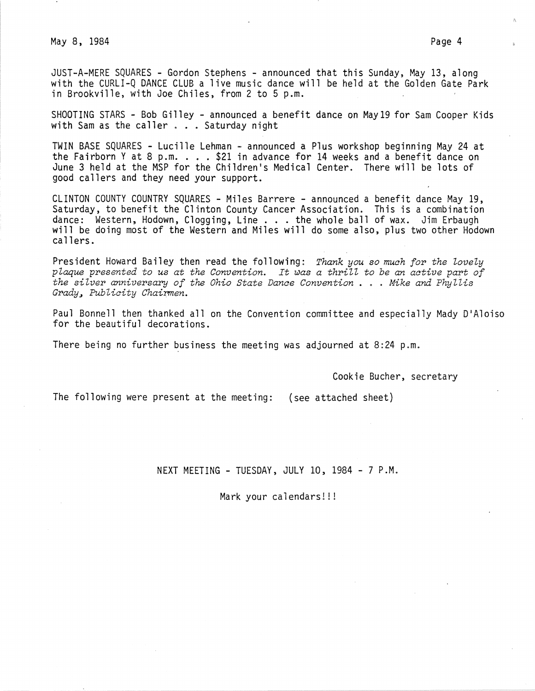May 8, 1984 Page 4

JUST-A-MERE SQUARES - Gordon Stephens - announced that this Sunday, May 13, along with the CURLI-Q DANCE CLUB a live music dance will be held at the Golden Gate Park in Brookville, with Joe Chiles, from 2 to 5 p.m.

SHOOTING STARS - Bob Gilley - announced a benefit dance on May19 for Sam Cooper Kids with Sam as the caller . . . Saturday night

TWIN BASE SQUARES - Lucille Lehman - announced a Plus workshop beginning May 24 at the Fairborn Y at 8 p.m.  $\ldots$  \$21 in advance for 14 weeks and a benefit dance on June 3 held at the MSP for the Children's Medical Center. There will be lots of good callers and they need your support.

CLINTON COUNTY COUNTRY SQUARES - Miles Barrere - announced a benefit dance May 19, Saturday, to benefit the Clinton County Cancer Association. This is a combination<br>dance: Western, Hodown, Clogging, Line . . . the whole ball of wax. Jim Erbaugh will be doing most of the Western and Miles will do some also, plus two other Hodown callers.

President Howard Bailey then read the following: *Thank you so much for the lovely plaque presented to us at the Convention. It* ~as *a thrill to be an active part of the silver anniversary of the Ohio State Dance Convention* • . . *Mike and Phyllis* Grady~ *Publicity Chair.men.* 

Paul Bonnell then thanked all on the Convention committee and especially Mady D'Aloiso for the beautiful decorations.

There being no further business the meeting was adjourned at 8:24 p.m.

Cookie Bucher, secretary

The following were present at the meeting: (see attached sheet)

NEXT MEETING - TUESDAY, JULY 10, 1984 - 7 P.M.

Mark your calendars!!!